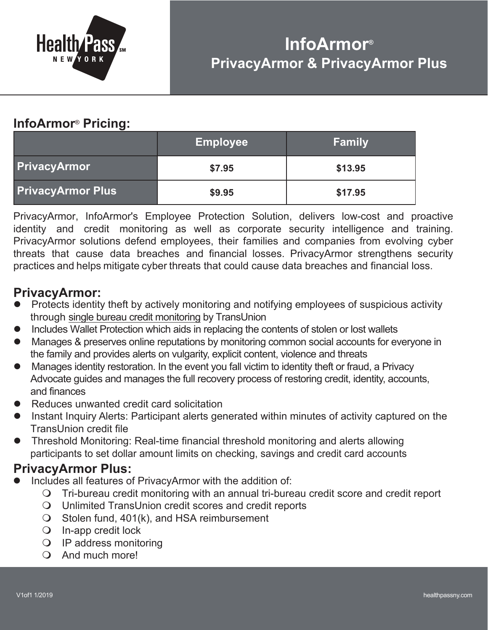

## **InfoArmor**® **Pricing:**

|                          | <b>Employee</b> | <b>Family</b> |
|--------------------------|-----------------|---------------|
| <b>PrivacyArmor</b>      | \$7.95          | \$13.95       |
| <b>PrivacyArmor Plus</b> | \$9.95          | \$17.95       |

PrivacyArmor, InfoArmor's Employee Protection Solution, delivers low-cost and proactive identity and credit monitoring as well as corporate security intelligence and training. PrivacyArmor solutions defend employees, their families and companies from evolving cyber threats that cause data breaches and financial losses. PrivacyArmor strengthens security practices and helps mitigate cyber threats that could cause data breaches and financial loss.

## **PrivacyArmor:**

- Protects identity theft by actively monitoring and notifying employees of suspicious activity through single bureau credit monitoring by TransUnion
- Includes Wallet Protection which aids in replacing the contents of stolen or lost wallets
- Manages & preserves online reputations by monitoring common social accounts for everyone in the family and provides alerts on vulgarity, explicit content, violence and threats
- l Manages identity restoration. In the event you fall victim to identity theft or fraud, a Privacy Advocate guides and manages the full recovery process of restoring credit, identity, accounts, and finances
- Reduces unwanted credit card solicitation
- Instant Inquiry Alerts: Participant alerts generated within minutes of activity captured on the TransUnion credit file
- l Threshold Monitoring: Real-time financial threshold monitoring and alerts allowing participants to set dollar amount limits on checking, savings and credit card accounts

## **PrivacyArmor Plus:**

- Includes all features of PrivacyArmor with the addition of:
	- $\bigcirc$  Tri-bureau credit monitoring with an annual tri-bureau credit score and credit report
	- $\Omega$  Unlimited TransUnion credit scores and credit reports
	- $\bigcirc$  Stolen fund, 401(k), and HSA reimbursement
	- $\bigcirc$  In-app credit lock
	- $\bigcirc$  IP address monitoring
	- O And much more!